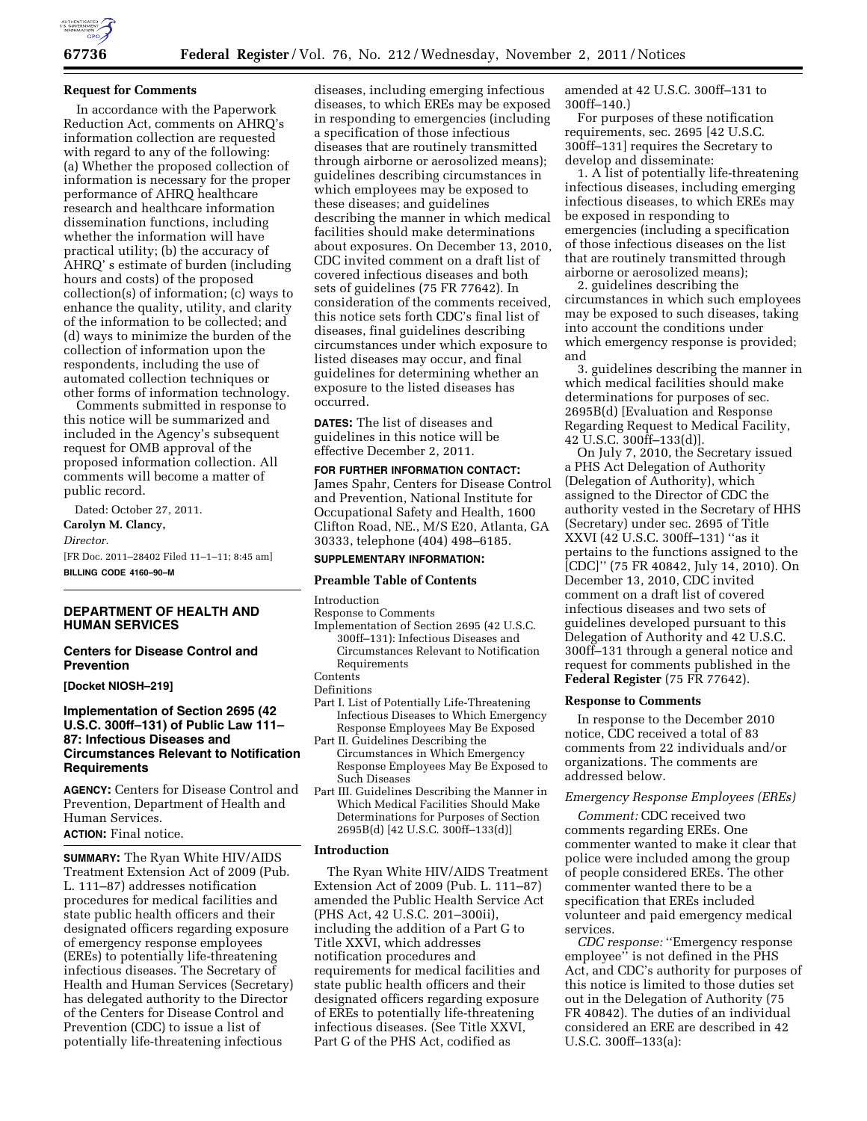

#### **Request for Comments**

In accordance with the Paperwork Reduction Act, comments on AHRQ's information collection are requested with regard to any of the following: (a) Whether the proposed collection of information is necessary for the proper performance of AHRQ healthcare research and healthcare information dissemination functions, including whether the information will have practical utility; (b) the accuracy of AHRQ' s estimate of burden (including hours and costs) of the proposed collection(s) of information; (c) ways to enhance the quality, utility, and clarity of the information to be collected; and (d) ways to minimize the burden of the collection of information upon the respondents, including the use of automated collection techniques or other forms of information technology.

Comments submitted in response to this notice will be summarized and included in the Agency's subsequent request for OMB approval of the proposed information collection. All comments will become a matter of public record.

Dated: October 27, 2011.

**Carolyn M. Clancy,** 

*Director.* 

[FR Doc. 2011–28402 Filed 11–1–11; 8:45 am] **BILLING CODE 4160–90–M** 

## **DEPARTMENT OF HEALTH AND HUMAN SERVICES**

## **Centers for Disease Control and Prevention**

**[Docket NIOSH–219]** 

## **Implementation of Section 2695 (42 U.S.C. 300ff–131) of Public Law 111– 87: Infectious Diseases and Circumstances Relevant to Notification Requirements**

**AGENCY:** Centers for Disease Control and Prevention, Department of Health and Human Services.

# **ACTION:** Final notice.

**SUMMARY:** The Ryan White HIV/AIDS Treatment Extension Act of 2009 (Pub. L. 111–87) addresses notification procedures for medical facilities and state public health officers and their designated officers regarding exposure of emergency response employees (EREs) to potentially life-threatening infectious diseases. The Secretary of Health and Human Services (Secretary) has delegated authority to the Director of the Centers for Disease Control and Prevention (CDC) to issue a list of potentially life-threatening infectious

diseases, including emerging infectious diseases, to which EREs may be exposed in responding to emergencies (including a specification of those infectious diseases that are routinely transmitted through airborne or aerosolized means); guidelines describing circumstances in which employees may be exposed to these diseases; and guidelines describing the manner in which medical facilities should make determinations about exposures. On December 13, 2010, CDC invited comment on a draft list of covered infectious diseases and both sets of guidelines (75 FR 77642). In consideration of the comments received, this notice sets forth CDC's final list of diseases, final guidelines describing circumstances under which exposure to listed diseases may occur, and final guidelines for determining whether an exposure to the listed diseases has occurred.

**DATES:** The list of diseases and guidelines in this notice will be effective December 2, 2011.

#### **FOR FURTHER INFORMATION CONTACT:**

James Spahr, Centers for Disease Control and Prevention, National Institute for Occupational Safety and Health, 1600 Clifton Road, NE., M/S E20, Atlanta, GA 30333, telephone (404) 498–6185.

## **SUPPLEMENTARY INFORMATION:**

## **Preamble Table of Contents**

Introduction

- Response to Comments
- Implementation of Section 2695 (42 U.S.C. 300ff–131): Infectious Diseases and Circumstances Relevant to Notification Requirements
- **Contents**

Definitions

- Part I. List of Potentially Life-Threatening Infectious Diseases to Which Emergency Response Employees May Be Exposed
- Part II. Guidelines Describing the Circumstances in Which Emergency Response Employees May Be Exposed to Such Diseases
- Part III. Guidelines Describing the Manner in Which Medical Facilities Should Make Determinations for Purposes of Section 2695B(d) [42 U.S.C. 300ff–133(d)]

#### **Introduction**

The Ryan White HIV/AIDS Treatment Extension Act of 2009 (Pub. L. 111–87) amended the Public Health Service Act (PHS Act, 42 U.S.C. 201–300ii), including the addition of a Part G to Title XXVI, which addresses notification procedures and requirements for medical facilities and state public health officers and their designated officers regarding exposure of EREs to potentially life-threatening infectious diseases. (See Title XXVI, Part G of the PHS Act, codified as

amended at 42 U.S.C. 300ff–131 to 300ff–140.)

For purposes of these notification requirements, sec. 2695 [42 U.S.C. 300ff–131] requires the Secretary to develop and disseminate:

1. A list of potentially life-threatening infectious diseases, including emerging infectious diseases, to which EREs may be exposed in responding to emergencies (including a specification of those infectious diseases on the list that are routinely transmitted through airborne or aerosolized means);

2. guidelines describing the circumstances in which such employees may be exposed to such diseases, taking into account the conditions under which emergency response is provided; and

3. guidelines describing the manner in which medical facilities should make determinations for purposes of sec. 2695B(d) [Evaluation and Response Regarding Request to Medical Facility, 42 U.S.C. 300ff–133(d)].

On July 7, 2010, the Secretary issued a PHS Act Delegation of Authority (Delegation of Authority), which assigned to the Director of CDC the authority vested in the Secretary of HHS (Secretary) under sec. 2695 of Title XXVI (42 U.S.C. 300ff–131) ''as it pertains to the functions assigned to the [CDC]'' (75 FR 40842, July 14, 2010). On December 13, 2010, CDC invited comment on a draft list of covered infectious diseases and two sets of guidelines developed pursuant to this Delegation of Authority and 42 U.S.C. 300ff–131 through a general notice and request for comments published in the **Federal Register** (75 FR 77642).

#### **Response to Comments**

In response to the December 2010 notice, CDC received a total of 83 comments from 22 individuals and/or organizations. The comments are addressed below.

#### *Emergency Response Employees (EREs)*

*Comment:* CDC received two comments regarding EREs. One commenter wanted to make it clear that police were included among the group of people considered EREs. The other commenter wanted there to be a specification that EREs included volunteer and paid emergency medical services.

*CDC response:* ''Emergency response employee'' is not defined in the PHS Act, and CDC's authority for purposes of this notice is limited to those duties set out in the Delegation of Authority (75 FR 40842). The duties of an individual considered an ERE are described in 42 U.S.C. 300ff–133(a):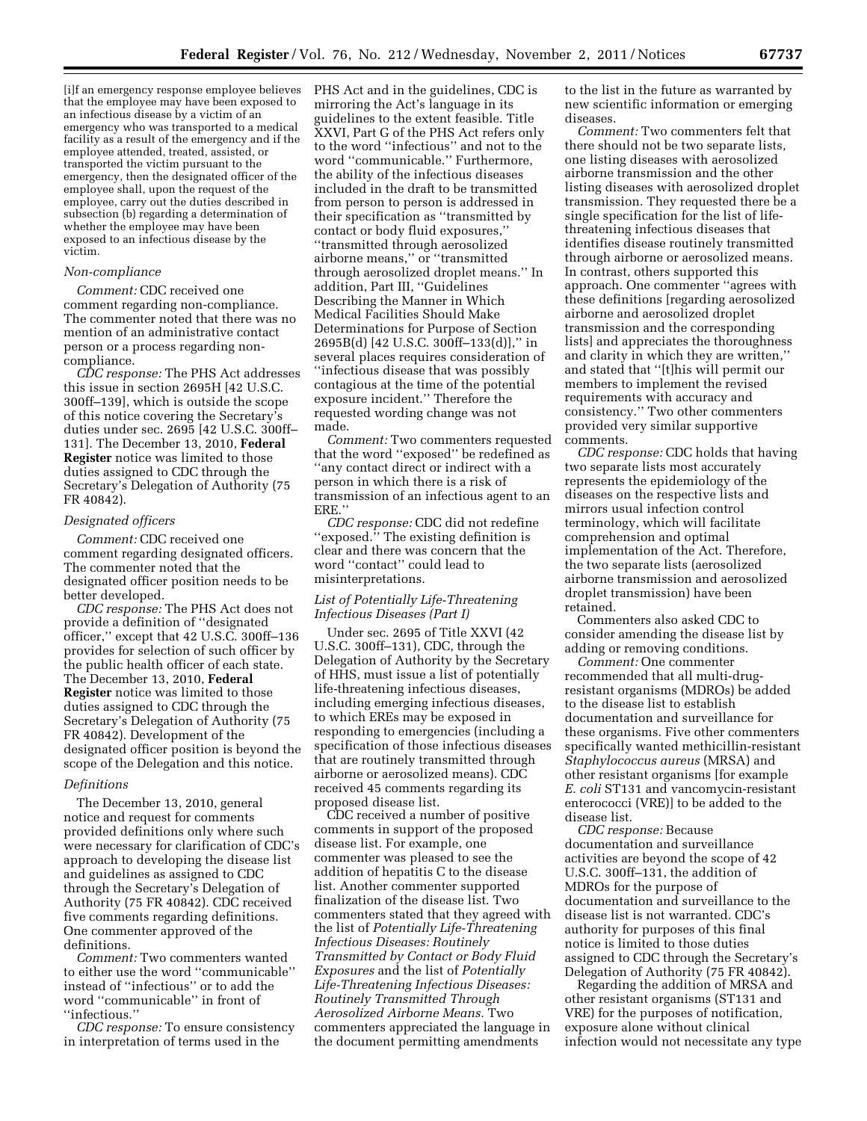[i]f an emergency response employee believes that the employee may have been exposed to an infectious disease by a victim of an emergency who was transported to a medical facility as a result of the emergency and if the employee attended, treated, assisted, or transported the victim pursuant to the emergency, then the designated officer of the employee shall, upon the request of the employee, carry out the duties described in subsection (b) regarding a determination of whether the employee may have been exposed to an infectious disease by the victim.

#### *Non-compliance*

*Comment:* CDC received one comment regarding non-compliance. The commenter noted that there was no mention of an administrative contact person or a process regarding noncompliance.

*CDC response:* The PHS Act addresses this issue in section 2695H [42 U.S.C. 300ff–139], which is outside the scope of this notice covering the Secretary's duties under sec. 2695 [42 U.S.C. 300ff– 131]. The December 13, 2010, **Federal Register** notice was limited to those duties assigned to CDC through the Secretary's Delegation of Authority (75 FR 40842).

#### *Designated officers*

*Comment:* CDC received one comment regarding designated officers. The commenter noted that the designated officer position needs to be better developed.

*CDC response:* The PHS Act does not provide a definition of ''designated officer,'' except that 42 U.S.C. 300ff–136 provides for selection of such officer by the public health officer of each state. The December 13, 2010, **Federal Register** notice was limited to those duties assigned to CDC through the Secretary's Delegation of Authority (75 FR 40842). Development of the designated officer position is beyond the scope of the Delegation and this notice.

### *Definitions*

The December 13, 2010, general notice and request for comments provided definitions only where such were necessary for clarification of CDC's approach to developing the disease list and guidelines as assigned to CDC through the Secretary's Delegation of Authority (75 FR 40842). CDC received five comments regarding definitions. One commenter approved of the definitions.

*Comment:* Two commenters wanted to either use the word ''communicable'' instead of ''infectious'' or to add the word ''communicable'' in front of ''infectious.''

*CDC response:* To ensure consistency in interpretation of terms used in the

PHS Act and in the guidelines, CDC is mirroring the Act's language in its guidelines to the extent feasible. Title XXVI, Part G of the PHS Act refers only to the word ''infectious'' and not to the word ''communicable.'' Furthermore, the ability of the infectious diseases included in the draft to be transmitted from person to person is addressed in their specification as ''transmitted by contact or body fluid exposures,'' ''transmitted through aerosolized airborne means,'' or ''transmitted through aerosolized droplet means.'' In addition, Part III, ''Guidelines Describing the Manner in Which Medical Facilities Should Make Determinations for Purpose of Section 2695B(d) [42 U.S.C. 300ff–133(d)],'' in several places requires consideration of ''infectious disease that was possibly contagious at the time of the potential exposure incident.'' Therefore the requested wording change was not made.

*Comment:* Two commenters requested that the word ''exposed'' be redefined as ''any contact direct or indirect with a person in which there is a risk of transmission of an infectious agent to an ERE.''

*CDC response:* CDC did not redefine "exposed." The existing definition is clear and there was concern that the word ''contact'' could lead to misinterpretations.

## *List of Potentially Life-Threatening Infectious Diseases (Part I)*

Under sec. 2695 of Title XXVI (42 U.S.C. 300ff–131), CDC, through the Delegation of Authority by the Secretary of HHS, must issue a list of potentially life-threatening infectious diseases, including emerging infectious diseases, to which EREs may be exposed in responding to emergencies (including a specification of those infectious diseases that are routinely transmitted through airborne or aerosolized means). CDC received 45 comments regarding its proposed disease list.

CDC received a number of positive comments in support of the proposed disease list. For example, one commenter was pleased to see the addition of hepatitis C to the disease list. Another commenter supported finalization of the disease list. Two commenters stated that they agreed with the list of *Potentially Life-Threatening Infectious Diseases: Routinely Transmitted by Contact or Body Fluid Exposures* and the list of *Potentially Life-Threatening Infectious Diseases: Routinely Transmitted Through Aerosolized Airborne Means.* Two commenters appreciated the language in the document permitting amendments

to the list in the future as warranted by new scientific information or emerging diseases.

*Comment:* Two commenters felt that there should not be two separate lists, one listing diseases with aerosolized airborne transmission and the other listing diseases with aerosolized droplet transmission. They requested there be a single specification for the list of lifethreatening infectious diseases that identifies disease routinely transmitted through airborne or aerosolized means. In contrast, others supported this approach. One commenter ''agrees with these definitions [regarding aerosolized airborne and aerosolized droplet transmission and the corresponding lists] and appreciates the thoroughness and clarity in which they are written,'' and stated that ''[t]his will permit our members to implement the revised requirements with accuracy and consistency.'' Two other commenters provided very similar supportive comments.

*CDC response:* CDC holds that having two separate lists most accurately represents the epidemiology of the diseases on the respective lists and mirrors usual infection control terminology, which will facilitate comprehension and optimal implementation of the Act. Therefore, the two separate lists (aerosolized airborne transmission and aerosolized droplet transmission) have been retained.

Commenters also asked CDC to consider amending the disease list by adding or removing conditions.

*Comment:* One commenter recommended that all multi-drugresistant organisms (MDROs) be added to the disease list to establish documentation and surveillance for these organisms. Five other commenters specifically wanted methicillin-resistant *Staphylococcus aureus* (MRSA) and other resistant organisms [for example *E. coli* ST131 and vancomycin-resistant enterococci (VRE)] to be added to the disease list.

*CDC response:* Because documentation and surveillance activities are beyond the scope of 42 U.S.C. 300ff–131, the addition of MDROs for the purpose of documentation and surveillance to the disease list is not warranted. CDC's authority for purposes of this final notice is limited to those duties assigned to CDC through the Secretary's Delegation of Authority (75 FR 40842).

Regarding the addition of MRSA and other resistant organisms (ST131 and VRE) for the purposes of notification, exposure alone without clinical infection would not necessitate any type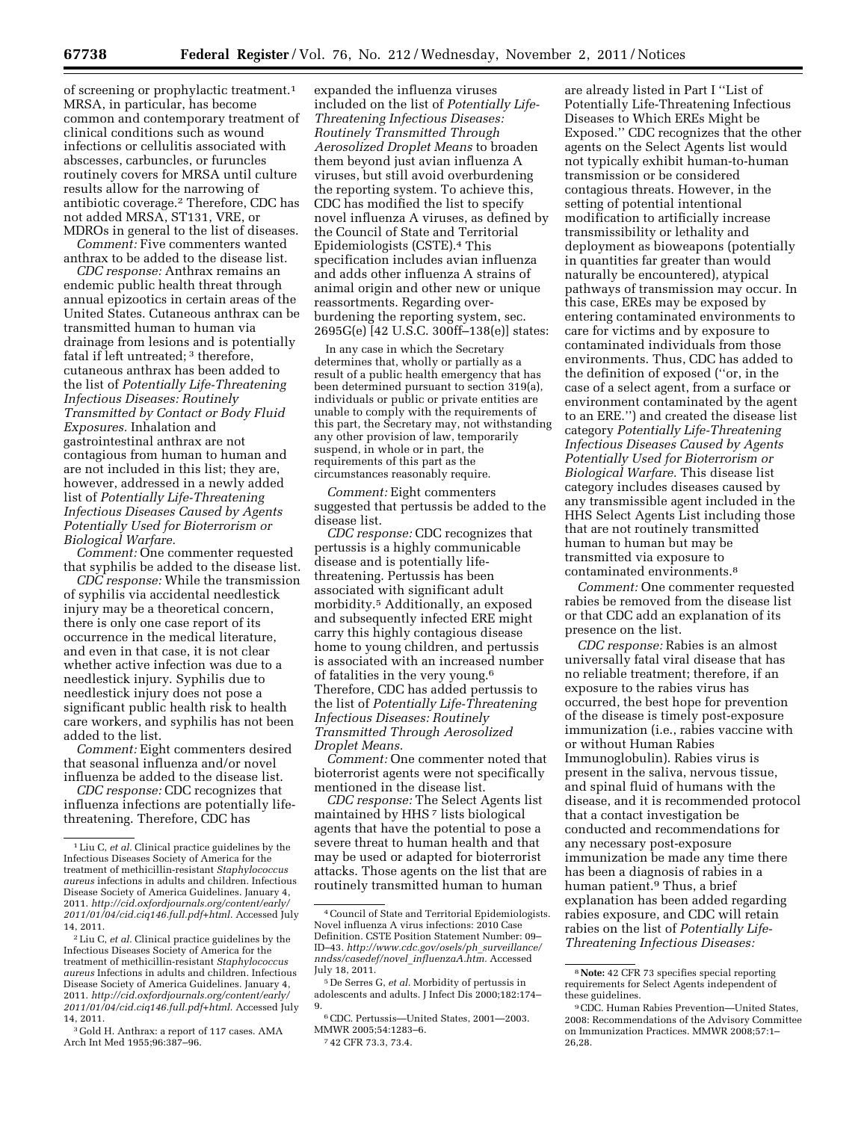of screening or prophylactic treatment.1 MRSA, in particular, has become common and contemporary treatment of clinical conditions such as wound infections or cellulitis associated with abscesses, carbuncles, or furuncles routinely covers for MRSA until culture results allow for the narrowing of antibiotic coverage.2 Therefore, CDC has not added MRSA, ST131, VRE, or MDROs in general to the list of diseases.

*Comment:* Five commenters wanted anthrax to be added to the disease list.

*CDC response:* Anthrax remains an endemic public health threat through annual epizootics in certain areas of the United States. Cutaneous anthrax can be transmitted human to human via drainage from lesions and is potentially fatal if left untreated; <sup>3</sup> therefore, cutaneous anthrax has been added to the list of *Potentially Life-Threatening Infectious Diseases: Routinely Transmitted by Contact or Body Fluid Exposures.* Inhalation and gastrointestinal anthrax are not contagious from human to human and are not included in this list; they are, however, addressed in a newly added list of *Potentially Life-Threatening Infectious Diseases Caused by Agents Potentially Used for Bioterrorism or Biological Warfare.* 

*Comment:* One commenter requested that syphilis be added to the disease list.

*CDC response:* While the transmission of syphilis via accidental needlestick injury may be a theoretical concern, there is only one case report of its occurrence in the medical literature, and even in that case, it is not clear whether active infection was due to a needlestick injury. Syphilis due to needlestick injury does not pose a significant public health risk to health care workers, and syphilis has not been added to the list.

*Comment:* Eight commenters desired that seasonal influenza and/or novel influenza be added to the disease list.

*CDC response:* CDC recognizes that influenza infections are potentially lifethreatening. Therefore, CDC has

expanded the influenza viruses included on the list of *Potentially Life-Threatening Infectious Diseases: Routinely Transmitted Through Aerosolized Droplet Means* to broaden them beyond just avian influenza A viruses, but still avoid overburdening the reporting system. To achieve this, CDC has modified the list to specify novel influenza A viruses, as defined by the Council of State and Territorial Epidemiologists (CSTE).4 This specification includes avian influenza and adds other influenza A strains of animal origin and other new or unique reassortments. Regarding overburdening the reporting system, sec. 2695G(e) [42 U.S.C. 300ff–138(e)] states:

In any case in which the Secretary determines that, wholly or partially as a result of a public health emergency that has been determined pursuant to section 319(a), individuals or public or private entities are unable to comply with the requirements of this part, the Secretary may, not withstanding any other provision of law, temporarily suspend, in whole or in part, the requirements of this part as the circumstances reasonably require.

*Comment:* Eight commenters suggested that pertussis be added to the disease list.

*CDC response:* CDC recognizes that pertussis is a highly communicable disease and is potentially lifethreatening. Pertussis has been associated with significant adult morbidity.5 Additionally, an exposed and subsequently infected ERE might carry this highly contagious disease home to young children, and pertussis is associated with an increased number of fatalities in the very young.6 Therefore, CDC has added pertussis to the list of *Potentially Life-Threatening Infectious Diseases: Routinely Transmitted Through Aerosolized Droplet Means.* 

*Comment:* One commenter noted that bioterrorist agents were not specifically mentioned in the disease list.

*CDC response:* The Select Agents list maintained by HHS 7 lists biological agents that have the potential to pose a severe threat to human health and that may be used or adapted for bioterrorist attacks. Those agents on the list that are routinely transmitted human to human

7 42 CFR 73.3, 73.4.

are already listed in Part I ''List of Potentially Life-Threatening Infectious Diseases to Which EREs Might be Exposed.'' CDC recognizes that the other agents on the Select Agents list would not typically exhibit human-to-human transmission or be considered contagious threats. However, in the setting of potential intentional modification to artificially increase transmissibility or lethality and deployment as bioweapons (potentially in quantities far greater than would naturally be encountered), atypical pathways of transmission may occur. In this case, EREs may be exposed by entering contaminated environments to care for victims and by exposure to contaminated individuals from those environments. Thus, CDC has added to the definition of exposed (''or, in the case of a select agent, from a surface or environment contaminated by the agent to an ERE.'') and created the disease list category *Potentially Life-Threatening Infectious Diseases Caused by Agents Potentially Used for Bioterrorism or Biological Warfare.* This disease list category includes diseases caused by any transmissible agent included in the HHS Select Agents List including those that are not routinely transmitted human to human but may be transmitted via exposure to contaminated environments.8

*Comment:* One commenter requested rabies be removed from the disease list or that CDC add an explanation of its presence on the list.

*CDC response:* Rabies is an almost universally fatal viral disease that has no reliable treatment; therefore, if an exposure to the rabies virus has occurred, the best hope for prevention of the disease is timely post-exposure immunization (i.e., rabies vaccine with or without Human Rabies Immunoglobulin). Rabies virus is present in the saliva, nervous tissue, and spinal fluid of humans with the disease, and it is recommended protocol that a contact investigation be conducted and recommendations for any necessary post-exposure immunization be made any time there has been a diagnosis of rabies in a human patient.9 Thus, a brief explanation has been added regarding rabies exposure, and CDC will retain rabies on the list of *Potentially Life-Threatening Infectious Diseases:* 

<sup>1</sup>Liu C, *et al.* Clinical practice guidelines by the Infectious Diseases Society of America for the treatment of methicillin-resistant *Staphylococcus aureus* infections in adults and children. Infectious Disease Society of America Guidelines. January 4, 2011. *[http://cid.oxfordjournals.org/content/early/](http://cid.oxfordjournals.org/content/early/2011/01/04/cid.ciq146.full.pdf+html)  [2011/01/04/cid.ciq146.full.pdf+html.](http://cid.oxfordjournals.org/content/early/2011/01/04/cid.ciq146.full.pdf+html)* Accessed July 14, 2011.

<sup>2</sup>Liu C, *et al.* Clinical practice guidelines by the Infectious Diseases Society of America for the treatment of methicillin-resistant *Staphylococcus aureus* Infections in adults and children. Infectious Disease Society of America Guidelines. January 4, 2011. *[http://cid.oxfordjournals.org/content/early/](http://cid.oxfordjournals.org/content/early/2011/01/04/cid.ciq146.full.pdf+html)  [2011/01/04/cid.ciq146.full.pdf+html](http://cid.oxfordjournals.org/content/early/2011/01/04/cid.ciq146.full.pdf+html)*. Accessed July 14, 2011.

<sup>3</sup> Gold H. Anthrax: a report of 117 cases. AMA Arch Int Med 1955;96:387–96.

<sup>4</sup>Council of State and Territorial Epidemiologists. Novel influenza A virus infections: 2010 Case Definition. CSTE Position Statement Number: 09– ID–43. *[http://www.cdc.gov/osels/ph](http://www.cdc.gov/osels/ph_surveillance/nndss/casedef/novel_influenzaA.htm)*\_*surveillance/ [nndss/casedef/novel](http://www.cdc.gov/osels/ph_surveillance/nndss/casedef/novel_influenzaA.htm)*\_*influenzaA.htm.* Accessed July 18, 2011.

<sup>5</sup> De Serres G, *et al.* Morbidity of pertussis in adolescents and adults. J Infect Dis 2000;182:174– 9.

<sup>6</sup>CDC. Pertussis—United States, 2001—2003. MMWR 2005;54:1283–6.

<sup>8</sup>**Note:** 42 CFR 73 specifies special reporting requirements for Select Agents independent of these guidelines.

<sup>9</sup>CDC. Human Rabies Prevention—United States, 2008: Recommendations of the Advisory Committee on Immunization Practices. MMWR 2008;57:1– 26,28.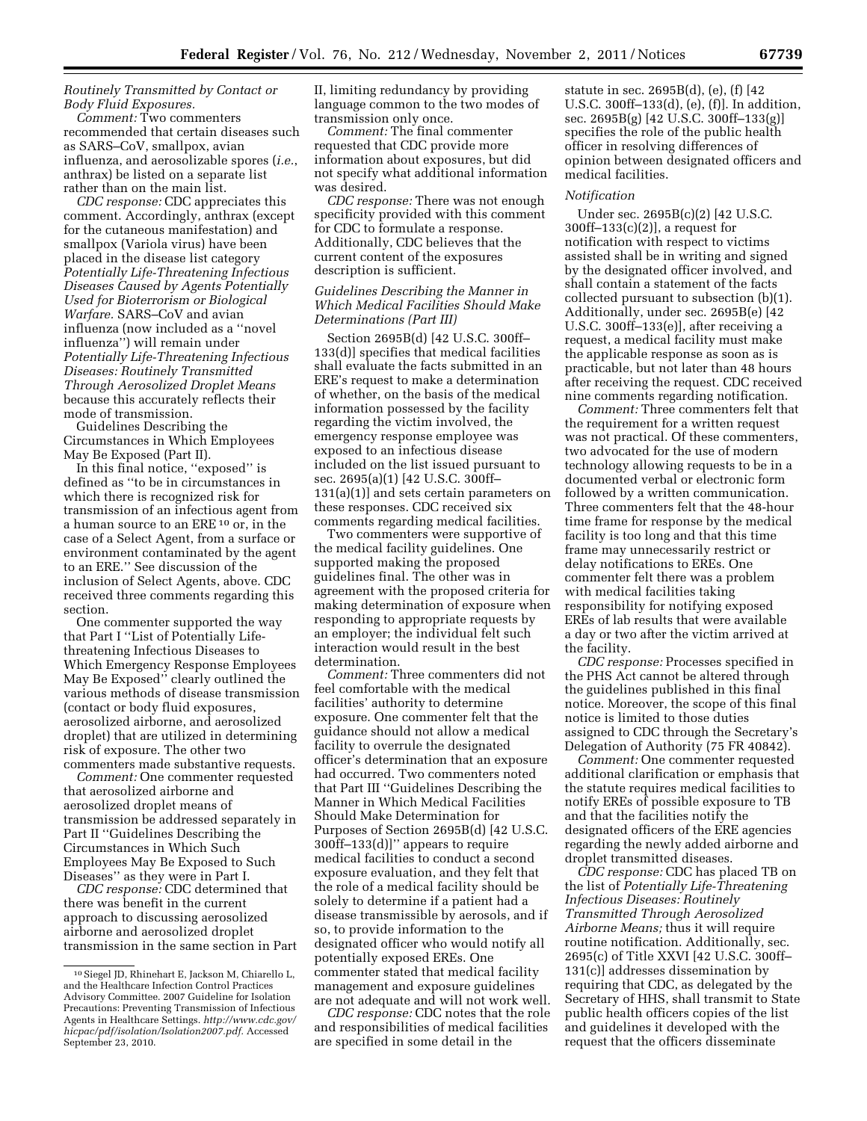## *Routinely Transmitted by Contact or Body Fluid Exposures.*

*Comment:* Two commenters recommended that certain diseases such as SARS–CoV, smallpox, avian influenza, and aerosolizable spores (*i.e.*, anthrax) be listed on a separate list rather than on the main list.

*CDC response:* CDC appreciates this comment. Accordingly, anthrax (except for the cutaneous manifestation) and smallpox (Variola virus) have been placed in the disease list category *Potentially Life-Threatening Infectious Diseases Caused by Agents Potentially Used for Bioterrorism or Biological Warfare.* SARS–CoV and avian influenza (now included as a ''novel influenza'') will remain under *Potentially Life-Threatening Infectious Diseases: Routinely Transmitted Through Aerosolized Droplet Means*  because this accurately reflects their mode of transmission.

Guidelines Describing the Circumstances in Which Employees May Be Exposed (Part II).

In this final notice, ''exposed'' is defined as ''to be in circumstances in which there is recognized risk for transmission of an infectious agent from a human source to an ERE 10 or, in the case of a Select Agent, from a surface or environment contaminated by the agent to an ERE.'' See discussion of the inclusion of Select Agents, above. CDC received three comments regarding this section.

One commenter supported the way that Part I ''List of Potentially Lifethreatening Infectious Diseases to Which Emergency Response Employees May Be Exposed'' clearly outlined the various methods of disease transmission (contact or body fluid exposures, aerosolized airborne, and aerosolized droplet) that are utilized in determining risk of exposure. The other two commenters made substantive requests.

*Comment:* One commenter requested that aerosolized airborne and aerosolized droplet means of transmission be addressed separately in Part II ''Guidelines Describing the Circumstances in Which Such Employees May Be Exposed to Such Diseases'' as they were in Part I.

*CDC response:* CDC determined that there was benefit in the current approach to discussing aerosolized airborne and aerosolized droplet transmission in the same section in Part II, limiting redundancy by providing language common to the two modes of transmission only once.

*Comment:* The final commenter requested that CDC provide more information about exposures, but did not specify what additional information was desired.

*CDC response:* There was not enough specificity provided with this comment for CDC to formulate a response. Additionally, CDC believes that the current content of the exposures description is sufficient.

## *Guidelines Describing the Manner in Which Medical Facilities Should Make Determinations (Part III)*

Section 2695B(d) [42 U.S.C. 300ff– 133(d)] specifies that medical facilities shall evaluate the facts submitted in an ERE's request to make a determination of whether, on the basis of the medical information possessed by the facility regarding the victim involved, the emergency response employee was exposed to an infectious disease included on the list issued pursuant to sec. 2695(a)(1) [42 U.S.C. 300ff– 131(a)(1)] and sets certain parameters on these responses. CDC received six comments regarding medical facilities.

Two commenters were supportive of the medical facility guidelines. One supported making the proposed guidelines final. The other was in agreement with the proposed criteria for making determination of exposure when responding to appropriate requests by an employer; the individual felt such interaction would result in the best determination.

*Comment:* Three commenters did not feel comfortable with the medical facilities' authority to determine exposure. One commenter felt that the guidance should not allow a medical facility to overrule the designated officer's determination that an exposure had occurred. Two commenters noted that Part III ''Guidelines Describing the Manner in Which Medical Facilities Should Make Determination for Purposes of Section 2695B(d) [42 U.S.C. 300ff–133(d)]'' appears to require medical facilities to conduct a second exposure evaluation, and they felt that the role of a medical facility should be solely to determine if a patient had a disease transmissible by aerosols, and if so, to provide information to the designated officer who would notify all potentially exposed EREs. One commenter stated that medical facility management and exposure guidelines are not adequate and will not work well.

*CDC response:* CDC notes that the role and responsibilities of medical facilities are specified in some detail in the

statute in sec. 2695B(d), (e), (f) [42 U.S.C. 300ff–133(d), (e), (f)]. In addition, sec. 2695B(g) [42 U.S.C. 300ff–133(g)] specifies the role of the public health officer in resolving differences of opinion between designated officers and medical facilities.

### *Notification*

Under sec. 2695B(c)(2) [42 U.S.C. 300ff–133(c)(2)], a request for notification with respect to victims assisted shall be in writing and signed by the designated officer involved, and shall contain a statement of the facts collected pursuant to subsection (b)(1). Additionally, under sec. 2695B(e) [42 U.S.C. 300ff–133(e)], after receiving a request, a medical facility must make the applicable response as soon as is practicable, but not later than 48 hours after receiving the request. CDC received nine comments regarding notification.

*Comment:* Three commenters felt that the requirement for a written request was not practical. Of these commenters, two advocated for the use of modern technology allowing requests to be in a documented verbal or electronic form followed by a written communication. Three commenters felt that the 48-hour time frame for response by the medical facility is too long and that this time frame may unnecessarily restrict or delay notifications to EREs. One commenter felt there was a problem with medical facilities taking responsibility for notifying exposed EREs of lab results that were available a day or two after the victim arrived at the facility.

*CDC response:* Processes specified in the PHS Act cannot be altered through the guidelines published in this final notice. Moreover, the scope of this final notice is limited to those duties assigned to CDC through the Secretary's Delegation of Authority (75 FR 40842).

*Comment:* One commenter requested additional clarification or emphasis that the statute requires medical facilities to notify EREs of possible exposure to TB and that the facilities notify the designated officers of the ERE agencies regarding the newly added airborne and droplet transmitted diseases.

*CDC response:* CDC has placed TB on the list of *Potentially Life-Threatening Infectious Diseases: Routinely Transmitted Through Aerosolized Airborne Means;* thus it will require routine notification. Additionally, sec. 2695(c) of Title XXVI [42 U.S.C. 300ff– 131(c)] addresses dissemination by requiring that CDC, as delegated by the Secretary of HHS, shall transmit to State public health officers copies of the list and guidelines it developed with the request that the officers disseminate

<sup>10</sup>Siegel JD, Rhinehart E, Jackson M, Chiarello L, and the Healthcare Infection Control Practices Advisory Committee. 2007 Guideline for Isolation Precautions: Preventing Transmission of Infectious Agents in Healthcare Settings. *[http://www.cdc.gov/](http://www.cdc.gov/hicpac/pdf/isolation/Isolation2007.pdf) [hicpac/pdf/isolation/Isolation2007.pdf.](http://www.cdc.gov/hicpac/pdf/isolation/Isolation2007.pdf)* Accessed September 23, 2010.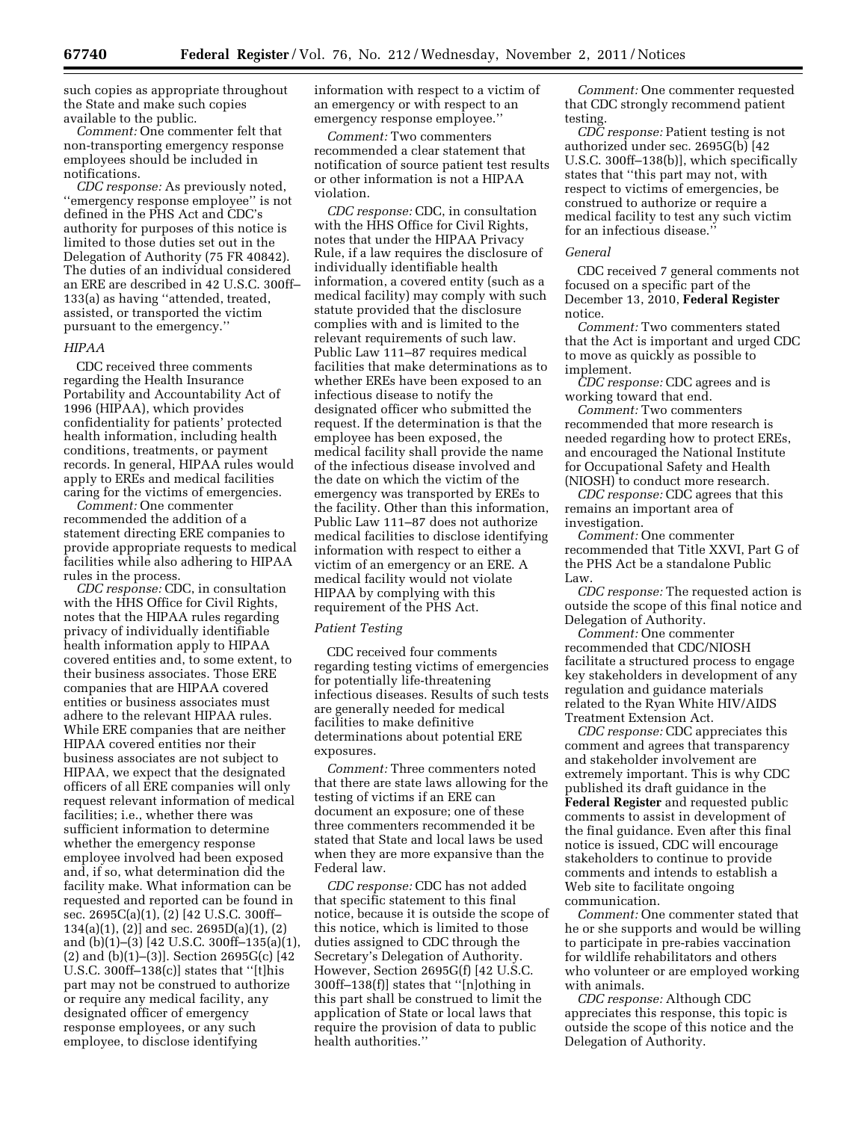such copies as appropriate throughout the State and make such copies available to the public.

*Comment:* One commenter felt that non-transporting emergency response employees should be included in notifications.

*CDC response:* As previously noted, ''emergency response employee'' is not defined in the PHS Act and CDC's authority for purposes of this notice is limited to those duties set out in the Delegation of Authority (75 FR 40842). The duties of an individual considered an ERE are described in 42 U.S.C. 300ff– 133(a) as having ''attended, treated, assisted, or transported the victim pursuant to the emergency.''

## *HIPAA*

CDC received three comments regarding the Health Insurance Portability and Accountability Act of 1996 (HIPAA), which provides confidentiality for patients' protected health information, including health conditions, treatments, or payment records. In general, HIPAA rules would apply to EREs and medical facilities caring for the victims of emergencies.

*Comment:* One commenter recommended the addition of a statement directing ERE companies to provide appropriate requests to medical facilities while also adhering to HIPAA rules in the process.

*CDC response:* CDC, in consultation with the HHS Office for Civil Rights, notes that the HIPAA rules regarding privacy of individually identifiable health information apply to HIPAA covered entities and, to some extent, to their business associates. Those ERE companies that are HIPAA covered entities or business associates must adhere to the relevant HIPAA rules. While ERE companies that are neither HIPAA covered entities nor their business associates are not subject to HIPAA, we expect that the designated officers of all ERE companies will only request relevant information of medical facilities; i.e., whether there was sufficient information to determine whether the emergency response employee involved had been exposed and, if so, what determination did the facility make. What information can be requested and reported can be found in sec. 2695C(a)(1), (2) [42 U.S.C. 300ff– 134(a)(1), (2)] and sec. 2695D(a)(1), (2) and (b)(1)–(3) [42 U.S.C. 300ff–135(a)(1),  $(2)$  and  $(b)(1)–(3)$ ]. Section 2695G(c) [42] U.S.C. 300ff–138(c)] states that ''[t]his part may not be construed to authorize or require any medical facility, any designated officer of emergency response employees, or any such employee, to disclose identifying

information with respect to a victim of an emergency or with respect to an emergency response employee.''

*Comment:* Two commenters recommended a clear statement that notification of source patient test results or other information is not a HIPAA violation.

*CDC response:* CDC, in consultation with the HHS Office for Civil Rights, notes that under the HIPAA Privacy Rule, if a law requires the disclosure of individually identifiable health information, a covered entity (such as a medical facility) may comply with such statute provided that the disclosure complies with and is limited to the relevant requirements of such law. Public Law 111–87 requires medical facilities that make determinations as to whether EREs have been exposed to an infectious disease to notify the designated officer who submitted the request. If the determination is that the employee has been exposed, the medical facility shall provide the name of the infectious disease involved and the date on which the victim of the emergency was transported by EREs to the facility. Other than this information, Public Law 111–87 does not authorize medical facilities to disclose identifying information with respect to either a victim of an emergency or an ERE. A medical facility would not violate HIPAA by complying with this requirement of the PHS Act.

#### *Patient Testing*

CDC received four comments regarding testing victims of emergencies for potentially life-threatening infectious diseases. Results of such tests are generally needed for medical facilities to make definitive determinations about potential ERE exposures.

*Comment:* Three commenters noted that there are state laws allowing for the testing of victims if an ERE can document an exposure; one of these three commenters recommended it be stated that State and local laws be used when they are more expansive than the Federal law.

*CDC response:* CDC has not added that specific statement to this final notice, because it is outside the scope of this notice, which is limited to those duties assigned to CDC through the Secretary's Delegation of Authority. However, Section 2695G(f) [42 U.S.C. 300ff–138(f)] states that ''[n]othing in this part shall be construed to limit the application of State or local laws that require the provision of data to public health authorities.''

*Comment:* One commenter requested that CDC strongly recommend patient testing.

*CDC response:* Patient testing is not authorized under sec. 2695G(b) [42 U.S.C. 300ff–138(b)], which specifically states that ''this part may not, with respect to victims of emergencies, be construed to authorize or require a medical facility to test any such victim for an infectious disease.''

#### *General*

CDC received 7 general comments not focused on a specific part of the December 13, 2010, **Federal Register**  notice.

*Comment:* Two commenters stated that the Act is important and urged CDC to move as quickly as possible to implement.

*CDC response:* CDC agrees and is working toward that end.

*Comment:* Two commenters recommended that more research is needed regarding how to protect EREs, and encouraged the National Institute for Occupational Safety and Health (NIOSH) to conduct more research.

*CDC response:* CDC agrees that this remains an important area of investigation.

*Comment:* One commenter recommended that Title XXVI, Part G of the PHS Act be a standalone Public Law.

*CDC response:* The requested action is outside the scope of this final notice and Delegation of Authority.

*Comment:* One commenter recommended that CDC/NIOSH facilitate a structured process to engage key stakeholders in development of any regulation and guidance materials related to the Ryan White HIV/AIDS Treatment Extension Act.

*CDC response:* CDC appreciates this comment and agrees that transparency and stakeholder involvement are extremely important. This is why CDC published its draft guidance in the **Federal Register** and requested public comments to assist in development of the final guidance. Even after this final notice is issued, CDC will encourage stakeholders to continue to provide comments and intends to establish a Web site to facilitate ongoing communication.

*Comment:* One commenter stated that he or she supports and would be willing to participate in pre-rabies vaccination for wildlife rehabilitators and others who volunteer or are employed working with animals.

*CDC response:* Although CDC appreciates this response, this topic is outside the scope of this notice and the Delegation of Authority.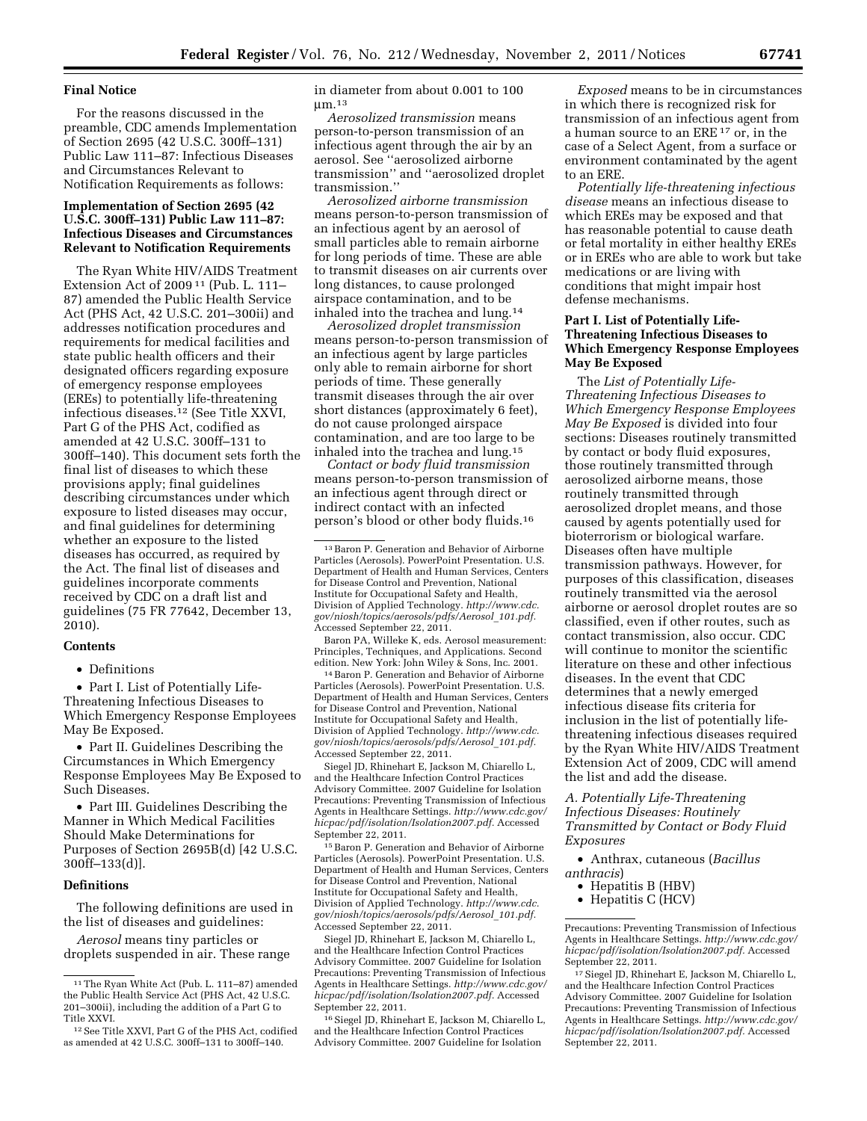#### **Final Notice**

For the reasons discussed in the preamble, CDC amends Implementation of Section 2695 (42 U.S.C. 300ff–131) Public Law 111–87: Infectious Diseases and Circumstances Relevant to Notification Requirements as follows:

## **Implementation of Section 2695 (42 U.S.C. 300ff–131) Public Law 111–87: Infectious Diseases and Circumstances Relevant to Notification Requirements**

The Ryan White HIV/AIDS Treatment Extension Act of 2009 11 (Pub. L. 111– 87) amended the Public Health Service Act (PHS Act, 42 U.S.C. 201–300ii) and addresses notification procedures and requirements for medical facilities and state public health officers and their designated officers regarding exposure of emergency response employees (EREs) to potentially life-threatening infectious diseases.12 (See Title XXVI, Part G of the PHS Act, codified as amended at 42 U.S.C. 300ff–131 to 300ff–140). This document sets forth the final list of diseases to which these provisions apply; final guidelines describing circumstances under which exposure to listed diseases may occur, and final guidelines for determining whether an exposure to the listed diseases has occurred, as required by the Act. The final list of diseases and guidelines incorporate comments received by CDC on a draft list and guidelines (75 FR 77642, December 13, 2010).

## **Contents**

• Definitions

• Part I. List of Potentially Life-Threatening Infectious Diseases to Which Emergency Response Employees May Be Exposed.

• Part II. Guidelines Describing the Circumstances in Which Emergency Response Employees May Be Exposed to Such Diseases.

• Part III. Guidelines Describing the Manner in Which Medical Facilities Should Make Determinations for Purposes of Section 2695B(d) [42 U.S.C. 300ff–133(d)].

#### **Definitions**

The following definitions are used in the list of diseases and guidelines:

*Aerosol* means tiny particles or droplets suspended in air. These range in diameter from about 0.001 to 100  $µm.<sup>13</sup>$ 

*Aerosolized transmission* means person-to-person transmission of an infectious agent through the air by an aerosol. See ''aerosolized airborne transmission'' and ''aerosolized droplet transmission.''

*Aerosolized airborne transmission*  means person-to-person transmission of an infectious agent by an aerosol of small particles able to remain airborne for long periods of time. These are able to transmit diseases on air currents over long distances, to cause prolonged airspace contamination, and to be inhaled into the trachea and lung.14

*Aerosolized droplet transmission*  means person-to-person transmission of an infectious agent by large particles only able to remain airborne for short periods of time. These generally transmit diseases through the air over short distances (approximately 6 feet), do not cause prolonged airspace contamination, and are too large to be inhaled into the trachea and lung.15

*Contact or body fluid transmission*  means person-to-person transmission of an infectious agent through direct or indirect contact with an infected person's blood or other body fluids.16

Baron PA, Willeke K, eds. Aerosol measurement: Principles, Techniques, and Applications. Second edition. New York: John Wiley & Sons, Inc. 2001.

14Baron P. Generation and Behavior of Airborne Particles (Aerosols). PowerPoint Presentation. U.S. Department of Health and Human Services, Centers for Disease Control and Prevention, National Institute for Occupational Safety and Health, Division of Applied Technology. *[http://www.cdc.](http://www.cdc.gov/niosh/topics/aerosols/pdfs/Aerosol_101.pdf) [gov/niosh/topics/aerosols/pdfs/Aerosol](http://www.cdc.gov/niosh/topics/aerosols/pdfs/Aerosol_101.pdf)*\_*101.pdf.*  Accessed September 22, 2011.

Siegel JD, Rhinehart E, Jackson M, Chiarello L, and the Healthcare Infection Control Practices Advisory Committee. 2007 Guideline for Isolation Precautions: Preventing Transmission of Infectious Agents in Healthcare Settings. *[http://www.cdc.gov/](http://www.cdc.gov/hicpac/pdf/isolation/Isolation2007.pdf) [hicpac/pdf/isolation/Isolation2007.pdf.](http://www.cdc.gov/hicpac/pdf/isolation/Isolation2007.pdf)* Accessed September 22, 2011.

15Baron P. Generation and Behavior of Airborne Particles (Aerosols). PowerPoint Presentation. U.S. Department of Health and Human Services, Centers for Disease Control and Prevention, National Institute for Occupational Safety and Health, Division of Applied Technology. *[http://www.cdc.](http://www.cdc.gov/niosh/topics/aerosols/pdfs/Aerosol_101.pdf) [gov/niosh/topics/aerosols/pdfs/Aerosol](http://www.cdc.gov/niosh/topics/aerosols/pdfs/Aerosol_101.pdf)*\_*101.pdf.*  Accessed September 22, 2011.

Siegel JD, Rhinehart E, Jackson M, Chiarello L, and the Healthcare Infection Control Practices Advisory Committee. 2007 Guideline for Isolation Precautions: Preventing Transmission of Infectious Agents in Healthcare Settings. *[http://www.cdc.gov/](http://www.cdc.gov/hicpac/pdf/isolation/Isolation2007.pdf) [hicpac/pdf/isolation/Isolation2007.pdf.](http://www.cdc.gov/hicpac/pdf/isolation/Isolation2007.pdf)* Accessed September 22, 2011.

16Siegel JD, Rhinehart E, Jackson M, Chiarello L, and the Healthcare Infection Control Practices Advisory Committee. 2007 Guideline for Isolation

*Exposed* means to be in circumstances in which there is recognized risk for transmission of an infectious agent from a human source to an ERE 17 or, in the case of a Select Agent, from a surface or environment contaminated by the agent to an ERE.

*Potentially life-threatening infectious disease* means an infectious disease to which EREs may be exposed and that has reasonable potential to cause death or fetal mortality in either healthy EREs or in EREs who are able to work but take medications or are living with conditions that might impair host defense mechanisms.

## **Part I. List of Potentially Life-Threatening Infectious Diseases to Which Emergency Response Employees May Be Exposed**

The *List of Potentially Life-Threatening Infectious Diseases to Which Emergency Response Employees May Be Exposed* is divided into four sections: Diseases routinely transmitted by contact or body fluid exposures, those routinely transmitted through aerosolized airborne means, those routinely transmitted through aerosolized droplet means, and those caused by agents potentially used for bioterrorism or biological warfare. Diseases often have multiple transmission pathways. However, for purposes of this classification, diseases routinely transmitted via the aerosol airborne or aerosol droplet routes are so classified, even if other routes, such as contact transmission, also occur. CDC will continue to monitor the scientific literature on these and other infectious diseases. In the event that CDC determines that a newly emerged infectious disease fits criteria for inclusion in the list of potentially lifethreatening infectious diseases required by the Ryan White HIV/AIDS Treatment Extension Act of 2009, CDC will amend the list and add the disease.

*A. Potentially Life-Threatening Infectious Diseases: Routinely Transmitted by Contact or Body Fluid Exposures* 

• Anthrax, cutaneous (*Bacillus anthracis*)

• Hepatitis B (HBV)

• Hepatitis C (HCV)

Precautions: Preventing Transmission of Infectious Agents in Healthcare Settings. *[http://www.cdc.gov/](http://www.cdc.gov/hicpac/pdf/isolation/Isolation2007.pdf) [hicpac/pdf/isolation/Isolation2007.pdf.](http://www.cdc.gov/hicpac/pdf/isolation/Isolation2007.pdf)* Accessed September 22, 2011.

17Siegel JD, Rhinehart E, Jackson M, Chiarello L, and the Healthcare Infection Control Practices Advisory Committee. 2007 Guideline for Isolation Precautions: Preventing Transmission of Infectious Agents in Healthcare Settings. *[http://www.cdc.gov/](http://www.cdc.gov/hicpac/pdf/isolation/Isolation2007.pdf) [hicpac/pdf/isolation/Isolation2007.pdf.](http://www.cdc.gov/hicpac/pdf/isolation/Isolation2007.pdf)* Accessed September 22, 2011.

<sup>11</sup>The Ryan White Act (Pub. L. 111–87) amended the Public Health Service Act (PHS Act, 42 U.S.C. 201–300ii), including the addition of a Part G to Title XXVI.

<sup>12</sup>See Title XXVI, Part G of the PHS Act, codified as amended at 42 U.S.C. 300ff–131 to 300ff–140.

<sup>13</sup>Baron P. Generation and Behavior of Airborne Particles (Aerosols). PowerPoint Presentation. U.S. Department of Health and Human Services, Centers for Disease Control and Prevention, National Institute for Occupational Safety and Health, Division of Applied Technology. *[http://www.cdc.](http://www.cdc.gov/niosh/topics/aerosols/pdfs/Aerosol_101.pdf) [gov/niosh/topics/aerosols/pdfs/Aerosol](http://www.cdc.gov/niosh/topics/aerosols/pdfs/Aerosol_101.pdf)*\_*101.pdf.*  Accessed September 22, 2011.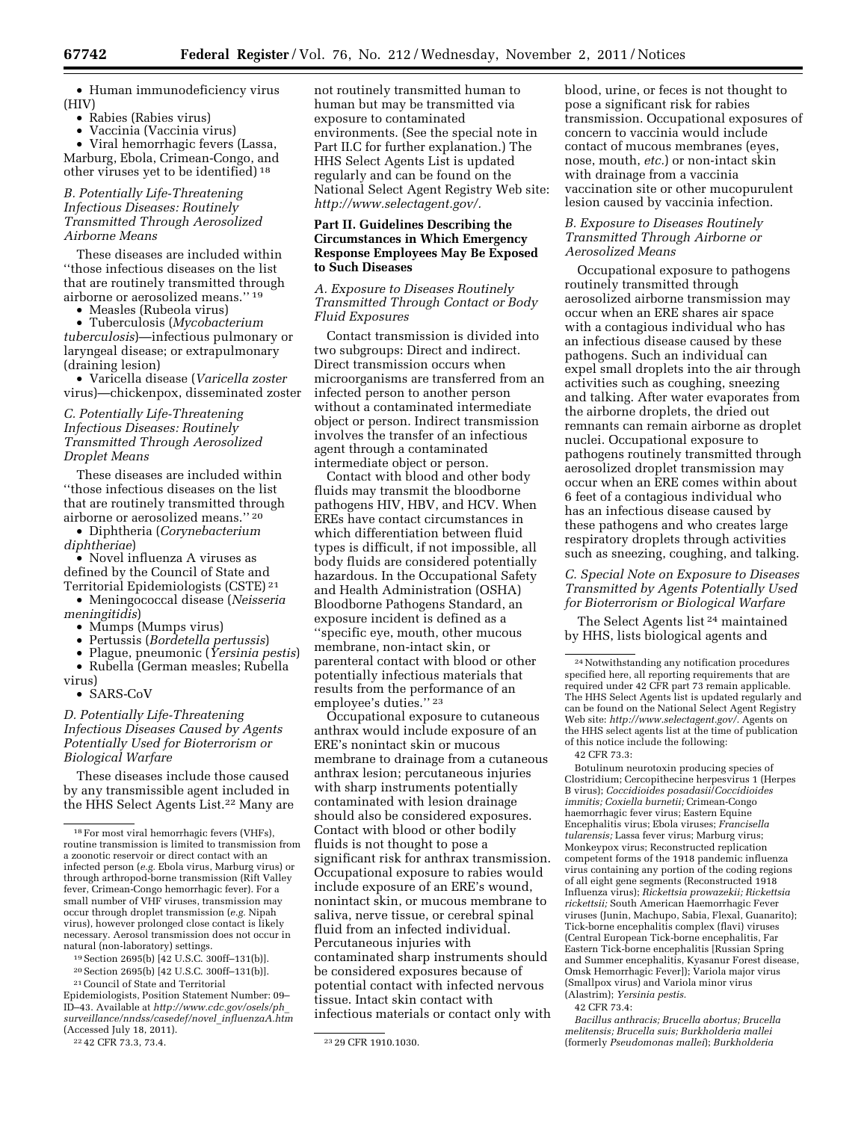• Human immunodeficiency virus (HIV)

- Rabies (Rabies virus)
- Vaccinia (Vaccinia virus)

• Viral hemorrhagic fevers (Lassa, Marburg, Ebola, Crimean-Congo, and other viruses yet to be identified) 18

## *B. Potentially Life-Threatening Infectious Diseases: Routinely Transmitted Through Aerosolized Airborne Means*

These diseases are included within ''those infectious diseases on the list that are routinely transmitted through airborne or aerosolized means.'' 19

• Measles (Rubeola virus)

• Tuberculosis (*Mycobacterium tuberculosis*)—infectious pulmonary or laryngeal disease; or extrapulmonary (draining lesion)

• Varicella disease (*Varicella zoster*  virus)—chickenpox, disseminated zoster

## *C. Potentially Life-Threatening Infectious Diseases: Routinely Transmitted Through Aerosolized Droplet Means*

These diseases are included within ''those infectious diseases on the list that are routinely transmitted through airborne or aerosolized means.'' 20

• Diphtheria (*Corynebacterium diphtheriae*)

• Novel influenza A viruses as defined by the Council of State and Territorial Epidemiologists (CSTE) 21

• Meningococcal disease (*Neisseria meningitidis*)

- Mumps (Mumps virus)
- Pertussis (*Bordetella pertussis*)
- Plague, pneumonic (*Yersinia pestis*)
- Rubella (German measles; Rubella

#### virus) • SARS-CoV

## *D. Potentially Life-Threatening Infectious Diseases Caused by Agents Potentially Used for Bioterrorism or Biological Warfare*

These diseases include those caused by any transmissible agent included in the HHS Select Agents List.22 Many are

21Council of State and Territorial Epidemiologists, Position Statement Number: 09– ID–43. Available at *[http://www.cdc.gov/osels/ph](http://www.cdc.gov/osels/ph_surveillance/nndss/casedef/novel_influenzaA.htm)*\_ *[surveillance/nndss/casedef/novel](http://www.cdc.gov/osels/ph_surveillance/nndss/casedef/novel_influenzaA.htm)*\_*influenzaA.htm*  (Accessed July 18, 2011).<br><sup>22</sup> 42 CFR 73.3, 73.4.

not routinely transmitted human to human but may be transmitted via exposure to contaminated environments. (See the special note in Part II.C for further explanation.) The HHS Select Agents List is updated regularly and can be found on the National Select Agent Registry Web site: *[http://www.selectagent.gov/.](http://www.selectagent.gov/)* 

## **Part II. Guidelines Describing the Circumstances in Which Emergency Response Employees May Be Exposed to Such Diseases**

*A. Exposure to Diseases Routinely Transmitted Through Contact or Body Fluid Exposures* 

Contact transmission is divided into two subgroups: Direct and indirect. Direct transmission occurs when microorganisms are transferred from an infected person to another person without a contaminated intermediate object or person. Indirect transmission involves the transfer of an infectious agent through a contaminated intermediate object or person.

Contact with blood and other body fluids may transmit the bloodborne pathogens HIV, HBV, and HCV. When EREs have contact circumstances in which differentiation between fluid types is difficult, if not impossible, all body fluids are considered potentially hazardous. In the Occupational Safety and Health Administration (OSHA) Bloodborne Pathogens Standard, an exposure incident is defined as a ''specific eye, mouth, other mucous membrane, non-intact skin, or parenteral contact with blood or other potentially infectious materials that results from the performance of an employee's duties.'' 23

Occupational exposure to cutaneous anthrax would include exposure of an ERE's nonintact skin or mucous membrane to drainage from a cutaneous anthrax lesion; percutaneous injuries with sharp instruments potentially contaminated with lesion drainage should also be considered exposures. Contact with blood or other bodily fluids is not thought to pose a significant risk for anthrax transmission. Occupational exposure to rabies would include exposure of an ERE's wound, nonintact skin, or mucous membrane to saliva, nerve tissue, or cerebral spinal fluid from an infected individual. Percutaneous injuries with contaminated sharp instruments should be considered exposures because of potential contact with infected nervous tissue. Intact skin contact with infectious materials or contact only with blood, urine, or feces is not thought to pose a significant risk for rabies transmission. Occupational exposures of concern to vaccinia would include contact of mucous membranes (eyes, nose, mouth, *etc.*) or non-intact skin with drainage from a vaccinia vaccination site or other mucopurulent lesion caused by vaccinia infection.

### *B. Exposure to Diseases Routinely Transmitted Through Airborne or Aerosolized Means*

Occupational exposure to pathogens routinely transmitted through aerosolized airborne transmission may occur when an ERE shares air space with a contagious individual who has an infectious disease caused by these pathogens. Such an individual can expel small droplets into the air through activities such as coughing, sneezing and talking. After water evaporates from the airborne droplets, the dried out remnants can remain airborne as droplet nuclei. Occupational exposure to pathogens routinely transmitted through aerosolized droplet transmission may occur when an ERE comes within about 6 feet of a contagious individual who has an infectious disease caused by these pathogens and who creates large respiratory droplets through activities such as sneezing, coughing, and talking.

## *C. Special Note on Exposure to Diseases Transmitted by Agents Potentially Used for Bioterrorism or Biological Warfare*

The Select Agents list<sup>24</sup> maintained by HHS, lists biological agents and

 $\rm ^{24}$  Notwithstanding any notification procedures specified here, all reporting requirements that are required under 42 CFR part 73 remain applicable. The HHS Select Agents list is updated regularly and can be found on the National Select Agent Registry Web site: *[http://www.selectagent.gov/.](http://www.selectagent.gov/)* Agents on the HHS select agents list at the time of publication of this notice include the following:

42 CFR 73.3:

Botulinum neurotoxin producing species of Clostridium; Cercopithecine herpesvirus 1 (Herpes B virus); *Coccidioides posadasii*/*Coccidioides immitis; Coxiella burnetii;* Crimean-Congo haemorrhagic fever virus; Eastern Equine Encephalitis virus; Ebola viruses; *Francisella tularensis;* Lassa fever virus; Marburg virus; Monkeypox virus; Reconstructed replication competent forms of the 1918 pandemic influenza virus containing any portion of the coding regions of all eight gene segments (Reconstructed 1918 Influenza virus); *Rickettsia prowazekii; Rickettsia rickettsii;* South American Haemorrhagic Fever viruses (Junin, Machupo, Sabia, Flexal, Guanarito); Tick-borne encephalitis complex (flavi) viruses (Central European Tick-borne encephalitis, Far Eastern Tick-borne encephalitis [Russian Spring and Summer encephalitis, Kyasanur Forest disease, Omsk Hemorrhagic Fever]); Variola major virus (Smallpox virus) and Variola minor virus (Alastrim); *Yersinia pestis.* 

42 CFR 73.4:

*Bacillus anthracis; Brucella abortus; Brucella melitensis; Brucella suis; Burkholderia mallei*  (formerly *Pseudomonas mallei*); *Burkholderia* 

<sup>18</sup>For most viral hemorrhagic fevers (VHFs), routine transmission is limited to transmission from a zoonotic reservoir or direct contact with an infected person (*e.g.* Ebola virus, Marburg virus) or through arthropod-borne transmission (Rift Valley fever, Crimean-Congo hemorrhagic fever). For a small number of VHF viruses, transmission may occur through droplet transmission (*e.g.* Nipah virus), however prolonged close contact is likely necessary. Aerosol transmission does not occur in natural (non-laboratory) settings.

<sup>19</sup>Section 2695(b) [42 U.S.C. 300ff–131(b)].

<sup>20</sup>Section 2695(b) [42 U.S.C. 300ff–131(b)].

<sup>&</sup>lt;sup>23</sup> 29 CFR 1910.1030.